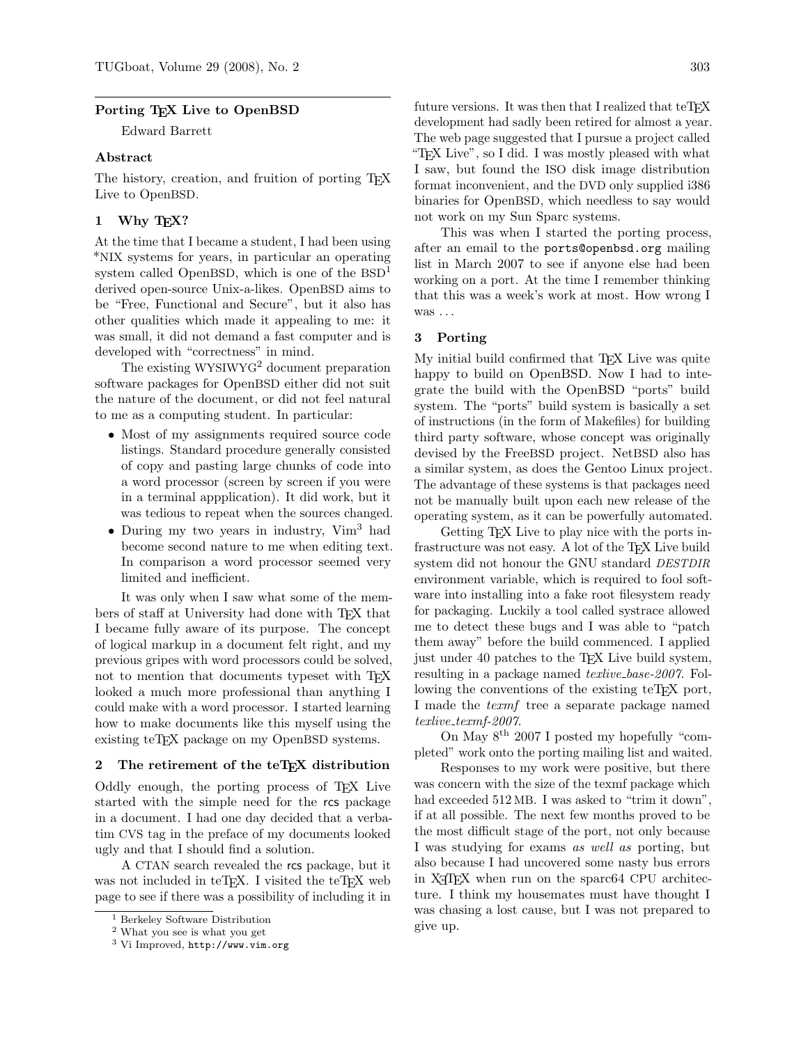#### Porting T<sub>EX</sub> Live to OpenBSD

Edward Barrett

### Abstract

The history, creation, and fruition of porting T<sub>E</sub>X Live to OpenBSD.

# 1 Why T<sub>F</sub>X?

At the time that I became a student, I had been using \*NIX systems for years, in particular an operating system called OpenBSD, which is one of the BSD<sup>[1](#page-0-0)</sup> derived open-source Unix-a-likes. OpenBSD aims to be "Free, Functional and Secure", but it also has other qualities which made it appealing to me: it was small, it did not demand a fast computer and is developed with "correctness" in mind.

The existing WYSIWYG<sup>[2](#page-0-1)</sup> document preparation software packages for OpenBSD either did not suit the nature of the document, or did not feel natural to me as a computing student. In particular:

- Most of my assignments required source code listings. Standard procedure generally consisted of copy and pasting large chunks of code into a word processor (screen by screen if you were in a terminal appplication). It did work, but it was tedious to repeat when the sources changed.
- During my two years in industry, Vim<sup>[3](#page-0-2)</sup> had become second nature to me when editing text. In comparison a word processor seemed very limited and inefficient.

It was only when I saw what some of the members of staff at University had done with T<sub>EX</sub> that I became fully aware of its purpose. The concept of logical markup in a document felt right, and my previous gripes with word processors could be solved, not to mention that documents typeset with T<sub>EX</sub> looked a much more professional than anything I could make with a word processor. I started learning how to make documents like this myself using the existing teTEX package on my OpenBSD systems.

# 2 The retirement of the teTFX distribution

Oddly enough, the porting process of TEX Live started with the simple need for the rcs package in a document. I had one day decided that a verbatim CVS tag in the preface of my documents looked ugly and that I should find a solution.

A CTAN search revealed the rcs package, but it was not included in teT<sub>EX</sub>. I visited the teT<sub>EX</sub> web page to see if there was a possibility of including it in

future versions. It was then that I realized that  $t$ eT<sub>E</sub>X development had sadly been retired for almost a year. The web page suggested that I pursue a project called "TEX Live", so I did. I was mostly pleased with what I saw, but found the ISO disk image distribution format inconvenient, and the DVD only supplied i386 binaries for OpenBSD, which needless to say would not work on my Sun Sparc systems.

This was when I started the porting process, after an email to the ports@openbsd.org mailing list in March 2007 to see if anyone else had been working on a port. At the time I remember thinking that this was a week's work at most. How wrong I was ...

### 3 Porting

My initial build confirmed that T<sub>EX</sub> Live was quite happy to build on OpenBSD. Now I had to integrate the build with the OpenBSD "ports" build system. The "ports" build system is basically a set of instructions (in the form of Makefiles) for building third party software, whose concept was originally devised by the FreeBSD project. NetBSD also has a similar system, as does the Gentoo Linux project. The advantage of these systems is that packages need not be manually built upon each new release of the operating system, as it can be powerfully automated.

Getting T<sub>F</sub>X Live to play nice with the ports infrastructure was not easy. A lot of the TEX Live build system did not honour the GNU standard DESTDIR environment variable, which is required to fool software into installing into a fake root filesystem ready for packaging. Luckily a tool called systrace allowed me to detect these bugs and I was able to "patch them away" before the build commenced. I applied just under 40 patches to the T<sub>E</sub>X Live build system, resulting in a package named *texlive\_base-2007*. Following the conventions of the existing teTEX port, I made the *texmf* tree a separate package named  $text{text-f2007}.$ 

On May  $8^{\text{th}}$  2007 I posted my hopefully "completed" work onto the porting mailing list and waited.

Responses to my work were positive, but there was concern with the size of the texmf package which had exceeded 512 MB. I was asked to "trim it down". if at all possible. The next few months proved to be the most difficult stage of the port, not only because I was studying for exams as well as porting, but also because I had uncovered some nasty bus errors in X<sub>T</sub>T<sub>F</sub>X when run on the sparc<sub>64</sub> CPU architecture. I think my housemates must have thought I was chasing a lost cause, but I was not prepared to give up.

<span id="page-0-0"></span><sup>1</sup> Berkeley Software Distribution

<span id="page-0-1"></span><sup>2</sup> What you see is what you get

<span id="page-0-2"></span><sup>3</sup> Vi Improved, <http://www.vim.org>